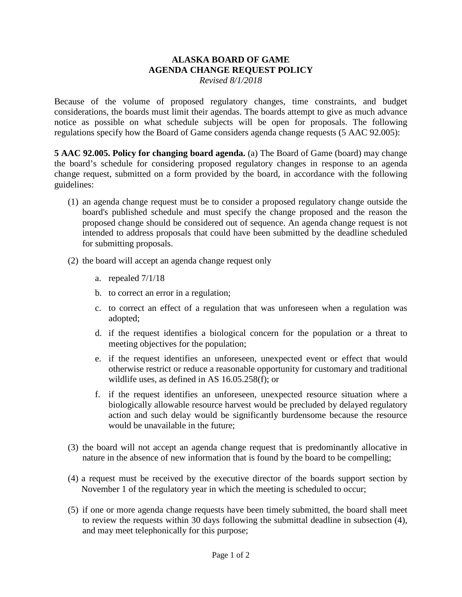## **ALASKA BOARD OF GAME AGENDA CHANGE REQUEST POLICY**

*Revised 8/1/2018* 

 notice as possible on what schedule subjects will be open for proposals. The following Because of the volume of proposed regulatory changes, time constraints, and budget considerations, the boards must limit their agendas. The boards attempt to give as much advance regulations specify how the Board of Game considers agenda change requests (5 AAC 92.005):

 **5 AAC 92.005. Policy for changing board agenda.** (a) The Board of Game (board) may change the board's schedule for considering proposed regulatory changes in response to an agenda change request, submitted on a form provided by the board, in accordance with the following guidelines:

- board's published schedule and must specify the change proposed and the reason the (1) an agenda change request must be to consider a proposed regulatory change outside the proposed change should be considered out of sequence. An agenda change request is not intended to address proposals that could have been submitted by the deadline scheduled for submitting proposals.
- (2) the board will accept an agenda change request only
	- a. repealed  $7/1/18$
	- b. to correct an error in a regulation;
	- c. to correct an effect of a regulation that was unforeseen when a regulation was adopted;
	- d. if the request identifies a biological concern for the population or a threat to meeting objectives for the population;
	- e. if the request identifies an unforeseen, unexpected event or effect that would otherwise restrict or reduce a reasonable opportunity for customary and traditional wildlife uses, as defined in AS 16.05.258(f); or
	- f. if the request identifies an unforeseen, unexpected resource situation where a biologically allowable resource harvest would be precluded by delayed regulatory action and such delay would be significantly burdensome because the resource would be unavailable in the future;
- nature in the absence of new information that is found by the board to be compelling; (3) the board will not accept an agenda change request that is predominantly allocative in
- November 1 of the regulatory year in which the meeting is scheduled to occur;  $(4)$  a request must be received by the executive director of the boards support section by
- and may meet telephonically for this purpose;<br>Page 1 of 2 (5) if one or more agenda change requests have been timely submitted, the board shall meet to review the requests within 30 days following the submittal deadline in subsection (4),